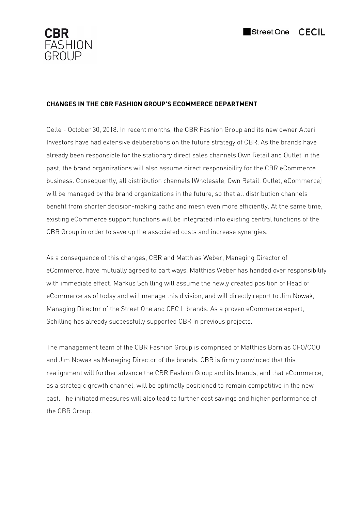

# **CHANGES IN THE CBR FASHION GROUP'S ECOMMERCE DEPARTMENT**

Celle - October 30, 2018. In recent months, the CBR Fashion Group and its new owner Alteri Investors have had extensive deliberations on the future strategy of CBR. As the brands have already been responsible for the stationary direct sales channels Own Retail and Outlet in the past, the brand organizations will also assume direct responsibility for the CBR eCommerce business. Consequently, all distribution channels (Wholesale, Own Retail, Outlet, eCommerce) will be managed by the brand organizations in the future, so that all distribution channels benefit from shorter decision-making paths and mesh even more efficiently. At the same time, existing eCommerce support functions will be integrated into existing central functions of the CBR Group in order to save up the associated costs and increase synergies.

As a consequence of this changes, CBR and Matthias Weber, Managing Director of eCommerce, have mutually agreed to part ways. Matthias Weber has handed over responsibility with immediate effect. Markus Schilling will assume the newly created position of Head of eCommerce as of today and will manage this division, and will directly report to Jim Nowak, Managing Director of the Street One and CECIL brands. As a proven eCommerce expert, Schilling has already successfully supported CBR in previous projects.

The management team of the CBR Fashion Group is comprised of Matthias Born as CFO/COO and Jim Nowak as Managing Director of the brands. CBR is firmly convinced that this realignment will further advance the CBR Fashion Group and its brands, and that eCommerce, as a strategic growth channel, will be optimally positioned to remain competitive in the new cast. The initiated measures will also lead to further cost savings and higher performance of the CBR Group.